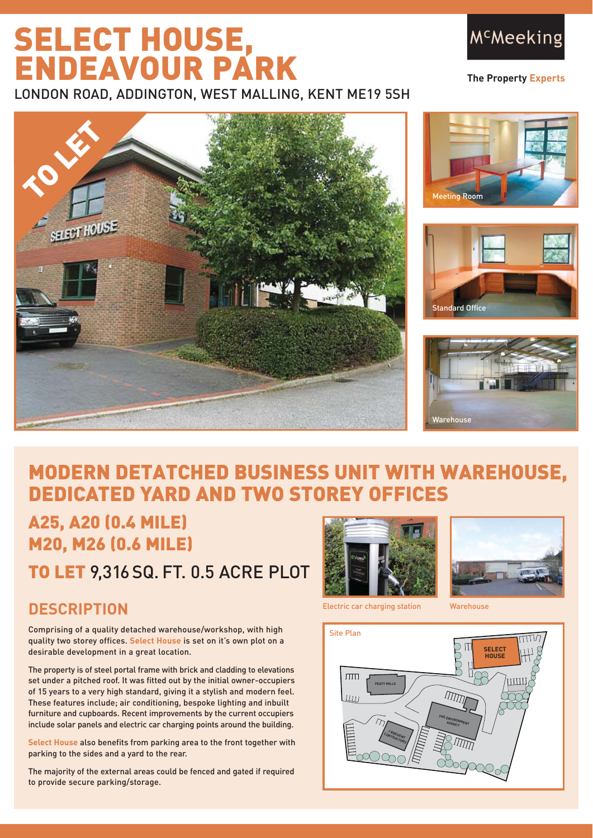# SELECT HOUSE, ENDEAVOUR PARK

LONDON ROAD, ADDINGTON, WEST MALLING, KENT ME19 5SH



**The Property Experts**









# MODERN DETATCHED BUSINESS UNIT WITH WAREHOUSE, DEDICATED YARD AND TWO STOREY OFFICES

A25, A20 (0.4 MILE) M20, M26 (0.6 MILE)

TO LET 9,316 SQ. FT. 0.5 ACRE PLOT

# **DESCRIPTION**

Comprising of a quality detached warehouse/workshop, with high quality two storey offices. **Select House** is set on it's own plot on a desirable development in a great location.

The property is of steel portal frame with brick and cladding to elevations set under a pitched roof. It was fitted out by the initial owner-occupiers of 15 years to a very high standard, giving it a stylish and modern feel. These features include; air conditioning, bespoke lighting and inbuilt furniture and cupboards. Recent improvements by the current occupiers include solar panels and electric car charging points around the building.

**Select House** also benefits from parking area to the front together with parking to the sides and a yard to the rear.

The majority of the external areas could be fenced and gated if required to provide secure parking/storage.





Electric car charging station Warehouse